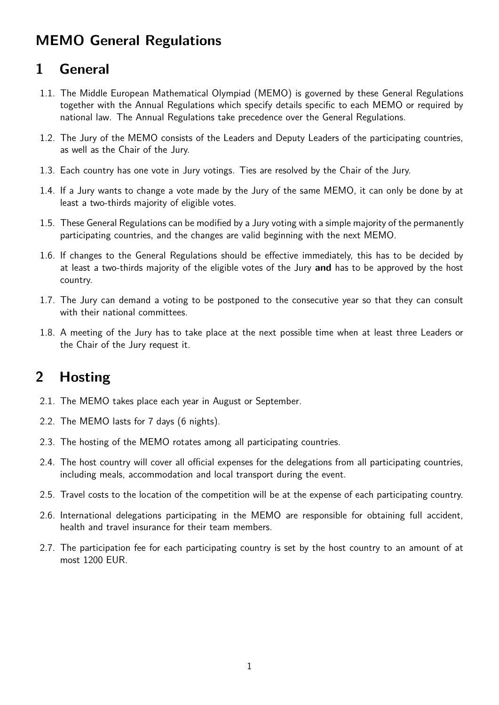# **MEMO General Regulations**

# **1 General**

- 1.1. The Middle European Mathematical Olympiad (MEMO) is governed by these General Regulations together with the Annual Regulations which specify details specific to each MEMO or required by national law. The Annual Regulations take precedence over the General Regulations.
- 1.2. The Jury of the MEMO consists of the Leaders and Deputy Leaders of the participating countries, as well as the Chair of the Jury.
- 1.3. Each country has one vote in Jury votings. Ties are resolved by the Chair of the Jury.
- 1.4. If a Jury wants to change a vote made by the Jury of the same MEMO, it can only be done by at least a two-thirds majority of eligible votes.
- 1.5. These General Regulations can be modified by a Jury voting with a simple majority of the permanently participating countries, and the changes are valid beginning with the next MEMO.
- 1.6. If changes to the General Regulations should be effective immediately, this has to be decided by at least a two-thirds majority of the eligible votes of the Jury **and** has to be approved by the host country.
- 1.7. The Jury can demand a voting to be postponed to the consecutive year so that they can consult with their national committees.
- 1.8. A meeting of the Jury has to take place at the next possible time when at least three Leaders or the Chair of the Jury request it.

# **2 Hosting**

- 2.1. The MEMO takes place each year in August or September.
- 2.2. The MEMO lasts for 7 days (6 nights).
- 2.3. The hosting of the MEMO rotates among all participating countries.
- 2.4. The host country will cover all official expenses for the delegations from all participating countries, including meals, accommodation and local transport during the event.
- 2.5. Travel costs to the location of the competition will be at the expense of each participating country.
- 2.6. International delegations participating in the MEMO are responsible for obtaining full accident, health and travel insurance for their team members.
- 2.7. The participation fee for each participating country is set by the host country to an amount of at most 1200 EUR.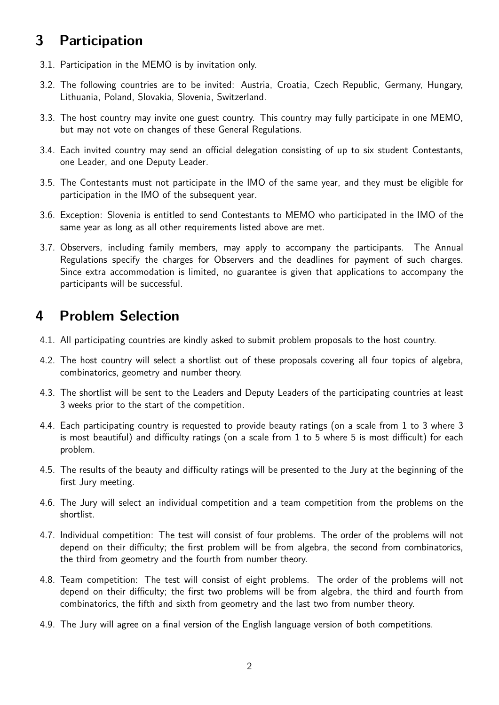# **3 Participation**

- 3.1. Participation in the MEMO is by invitation only.
- 3.2. The following countries are to be invited: Austria, Croatia, Czech Republic, Germany, Hungary, Lithuania, Poland, Slovakia, Slovenia, Switzerland.
- 3.3. The host country may invite one guest country. This country may fully participate in one MEMO, but may not vote on changes of these General Regulations.
- 3.4. Each invited country may send an official delegation consisting of up to six student Contestants, one Leader, and one Deputy Leader.
- 3.5. The Contestants must not participate in the IMO of the same year, and they must be eligible for participation in the IMO of the subsequent year.
- 3.6. Exception: Slovenia is entitled to send Contestants to MEMO who participated in the IMO of the same year as long as all other requirements listed above are met.
- 3.7. Observers, including family members, may apply to accompany the participants. The Annual Regulations specify the charges for Observers and the deadlines for payment of such charges. Since extra accommodation is limited, no guarantee is given that applications to accompany the participants will be successful.

## **4 Problem Selection**

- 4.1. All participating countries are kindly asked to submit problem proposals to the host country.
- 4.2. The host country will select a shortlist out of these proposals covering all four topics of algebra, combinatorics, geometry and number theory.
- 4.3. The shortlist will be sent to the Leaders and Deputy Leaders of the participating countries at least 3 weeks prior to the start of the competition.
- 4.4. Each participating country is requested to provide beauty ratings (on a scale from 1 to 3 where 3 is most beautiful) and difficulty ratings (on a scale from 1 to 5 where 5 is most difficult) for each problem.
- 4.5. The results of the beauty and difficulty ratings will be presented to the Jury at the beginning of the first Jury meeting.
- 4.6. The Jury will select an individual competition and a team competition from the problems on the shortlist.
- 4.7. Individual competition: The test will consist of four problems. The order of the problems will not depend on their difficulty; the first problem will be from algebra, the second from combinatorics, the third from geometry and the fourth from number theory.
- 4.8. Team competition: The test will consist of eight problems. The order of the problems will not depend on their difficulty; the first two problems will be from algebra, the third and fourth from combinatorics, the fifth and sixth from geometry and the last two from number theory.
- 4.9. The Jury will agree on a final version of the English language version of both competitions.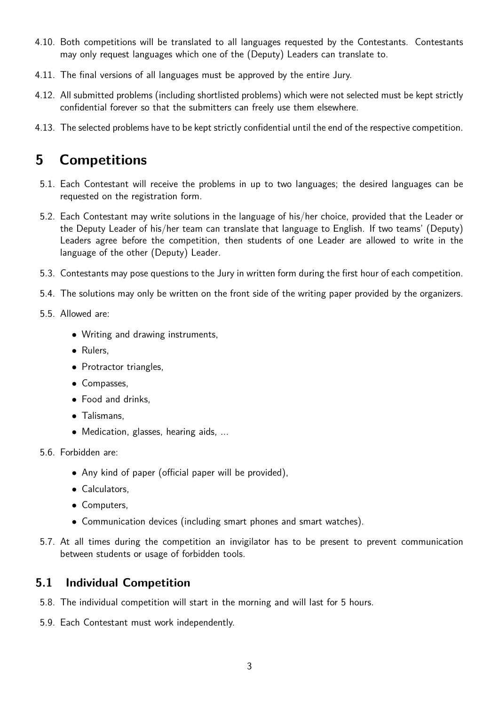- 4.10. Both competitions will be translated to all languages requested by the Contestants. Contestants may only request languages which one of the (Deputy) Leaders can translate to.
- 4.11. The final versions of all languages must be approved by the entire Jury.
- 4.12. All submitted problems (including shortlisted problems) which were not selected must be kept strictly confidential forever so that the submitters can freely use them elsewhere.
- 4.13. The selected problems have to be kept strictly confidential until the end of the respective competition.

## **5 Competitions**

- 5.1. Each Contestant will receive the problems in up to two languages; the desired languages can be requested on the registration form.
- 5.2. Each Contestant may write solutions in the language of his/her choice, provided that the Leader or the Deputy Leader of his/her team can translate that language to English. If two teams' (Deputy) Leaders agree before the competition, then students of one Leader are allowed to write in the language of the other (Deputy) Leader.
- 5.3. Contestants may pose questions to the Jury in written form during the first hour of each competition.
- 5.4. The solutions may only be written on the front side of the writing paper provided by the organizers.
- 5.5. Allowed are:
	- Writing and drawing instruments,
	- Rulers,
	- Protractor triangles,
	- Compasses,
	- Food and drinks,
	- Talismans,
	- Medication, glasses, hearing aids, ...
- 5.6. Forbidden are:
	- Any kind of paper (official paper will be provided),
	- Calculators,
	- Computers,
	- Communication devices (including smart phones and smart watches).
- 5.7. At all times during the competition an invigilator has to be present to prevent communication between students or usage of forbidden tools.

#### **5.1 Individual Competition**

- 5.8. The individual competition will start in the morning and will last for 5 hours.
- 5.9. Each Contestant must work independently.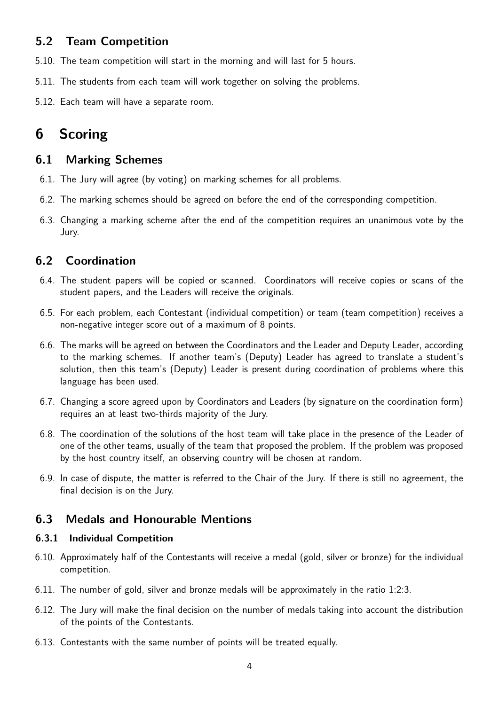### **5.2 Team Competition**

- 5.10. The team competition will start in the morning and will last for 5 hours.
- 5.11. The students from each team will work together on solving the problems.
- 5.12. Each team will have a separate room.

# **6 Scoring**

#### **6.1 Marking Schemes**

- 6.1. The Jury will agree (by voting) on marking schemes for all problems.
- 6.2. The marking schemes should be agreed on before the end of the corresponding competition.
- 6.3. Changing a marking scheme after the end of the competition requires an unanimous vote by the Jury.

### **6.2 Coordination**

- 6.4. The student papers will be copied or scanned. Coordinators will receive copies or scans of the student papers, and the Leaders will receive the originals.
- 6.5. For each problem, each Contestant (individual competition) or team (team competition) receives a non-negative integer score out of a maximum of 8 points.
- 6.6. The marks will be agreed on between the Coordinators and the Leader and Deputy Leader, according to the marking schemes. If another team's (Deputy) Leader has agreed to translate a student's solution, then this team's (Deputy) Leader is present during coordination of problems where this language has been used.
- 6.7. Changing a score agreed upon by Coordinators and Leaders (by signature on the coordination form) requires an at least two-thirds majority of the Jury.
- 6.8. The coordination of the solutions of the host team will take place in the presence of the Leader of one of the other teams, usually of the team that proposed the problem. If the problem was proposed by the host country itself, an observing country will be chosen at random.
- 6.9. In case of dispute, the matter is referred to the Chair of the Jury. If there is still no agreement, the final decision is on the Jury.

### **6.3 Medals and Honourable Mentions**

#### **6.3.1 Individual Competition**

- 6.10. Approximately half of the Contestants will receive a medal (gold, silver or bronze) for the individual competition.
- 6.11. The number of gold, silver and bronze medals will be approximately in the ratio 1:2:3.
- 6.12. The Jury will make the final decision on the number of medals taking into account the distribution of the points of the Contestants.
- 6.13. Contestants with the same number of points will be treated equally.